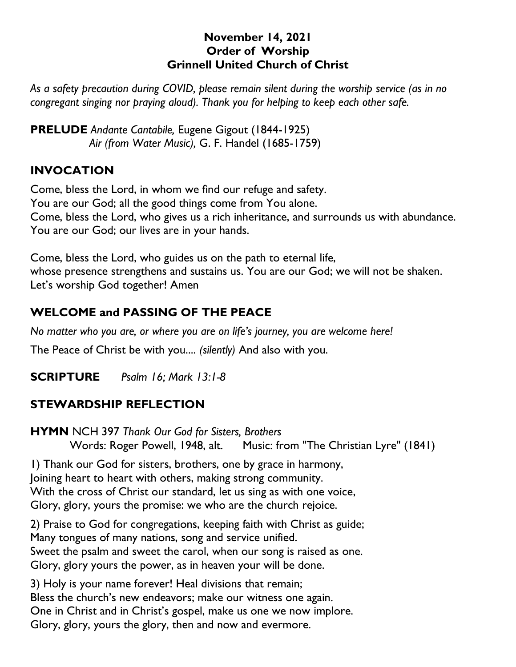## **November 14, 2021 Order of Worship Grinnell United Church of Christ**

*As a safety precaution during COVID, please remain silent during the worship service (as in no congregant singing nor praying aloud). Thank you for helping to keep each other safe.*

**PRELUDE** *Andante Cantabile,* Eugene Gigout (1844-1925) *Air (from Water Music),* G. F. Handel (1685-1759)

# **INVOCATION**

Come, bless the Lord, in whom we find our refuge and safety. You are our God; all the good things come from You alone. Come, bless the Lord, who gives us a rich inheritance, and surrounds us with abundance. You are our God; our lives are in your hands.

Come, bless the Lord, who guides us on the path to eternal life, whose presence strengthens and sustains us. You are our God; we will not be shaken. Let's worship God together! Amen

## **WELCOME and PASSING OF THE PEACE**

*No matter who you are, or where you are on life's journey, you are welcome here!*

The Peace of Christ be with you.... *(silently)* And also with you.

**SCRIPTURE** *Psalm 16; Mark 13:1-8*

## **STEWARDSHIP REFLECTION**

**HYMN** NCH 397 *Thank Our God for Sisters, Brothers* Words: Roger Powell, 1948, alt. Music: from "The Christian Lyre" (1841)

1) Thank our God for sisters, brothers, one by grace in harmony, Joining heart to heart with others, making strong community. With the cross of Christ our standard, let us sing as with one voice, Glory, glory, yours the promise: we who are the church rejoice.

2) Praise to God for congregations, keeping faith with Christ as guide; Many tongues of many nations, song and service unified. Sweet the psalm and sweet the carol, when our song is raised as one. Glory, glory yours the power, as in heaven your will be done.

3) Holy is your name forever! Heal divisions that remain; Bless the church's new endeavors; make our witness one again. One in Christ and in Christ's gospel, make us one we now implore. Glory, glory, yours the glory, then and now and evermore.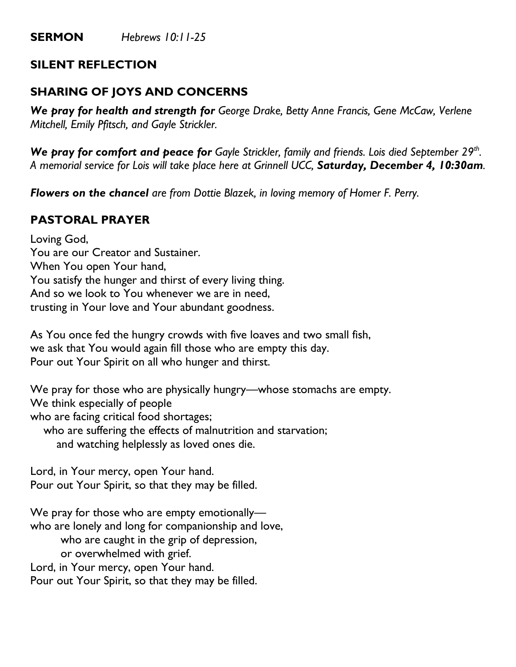# **SILENT REFLECTION**

# **SHARING OF JOYS AND CONCERNS**

*We pray for health and strength for George Drake, Betty Anne Francis, Gene McCaw, Verlene Mitchell, Emily Pfitsch, and Gayle Strickler.*

*We pray for comfort and peace for Gayle Strickler, family and friends. Lois died September 29th . A memorial service for Lois will take place here at Grinnell UCC, Saturday, December 4, 10:30am.*

*Flowers on the chancel are from Dottie Blazek, in loving memory of Homer F. Perry.*

# **PASTORAL PRAYER**

Loving God, You are our Creator and Sustainer. When You open Your hand, You satisfy the hunger and thirst of every living thing. And so we look to You whenever we are in need, trusting in Your love and Your abundant goodness.

As You once fed the hungry crowds with five loaves and two small fish, we ask that You would again fill those who are empty this day. Pour out Your Spirit on all who hunger and thirst.

We pray for those who are physically hungry—whose stomachs are empty. We think especially of people who are facing critical food shortages; who are suffering the effects of malnutrition and starvation; and watching helplessly as loved ones die.

Lord, in Your mercy, open Your hand. Pour out Your Spirit, so that they may be filled.

We pray for those who are empty emotionally who are lonely and long for companionship and love, who are caught in the grip of depression, or overwhelmed with grief. Lord, in Your mercy, open Your hand. Pour out Your Spirit, so that they may be filled.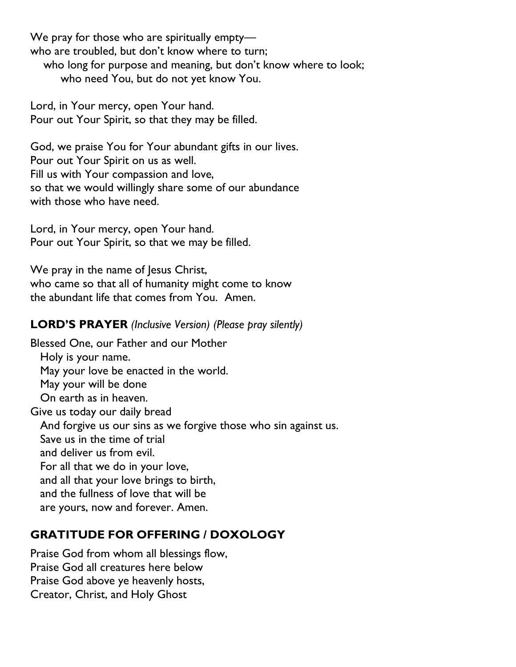We pray for those who are spiritually empty who are troubled, but don't know where to turn; who long for purpose and meaning, but don't know where to look; who need You, but do not yet know You.

Lord, in Your mercy, open Your hand. Pour out Your Spirit, so that they may be filled.

God, we praise You for Your abundant gifts in our lives. Pour out Your Spirit on us as well. Fill us with Your compassion and love, so that we would willingly share some of our abundance with those who have need.

Lord, in Your mercy, open Your hand. Pour out Your Spirit, so that we may be filled.

We pray in the name of Jesus Christ, who came so that all of humanity might come to know the abundant life that comes from You. Amen.

### **LORD'S PRAYER** *(Inclusive Version) (Please pray silently)*

Blessed One, our Father and our Mother Holy is your name. May your love be enacted in the world. May your will be done On earth as in heaven. Give us today our daily bread And forgive us our sins as we forgive those who sin against us. Save us in the time of trial and deliver us from evil. For all that we do in your love, and all that your love brings to birth, and the fullness of love that will be are yours, now and forever. Amen.

## **GRATITUDE FOR OFFERING / DOXOLOGY**

Praise God from whom all blessings flow, Praise God all creatures here below Praise God above ye heavenly hosts, Creator, Christ, and Holy Ghost